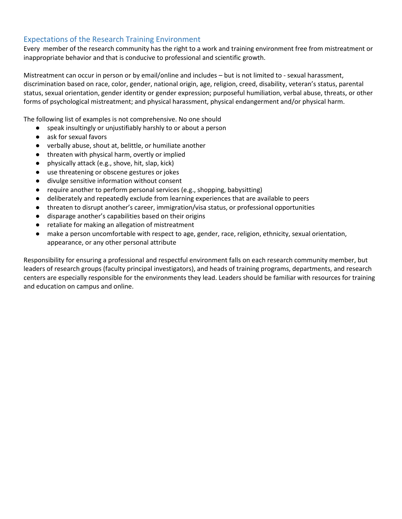# Expectations of the Research Training Environment

Every member of the research community has the right to a work and training environment free from mistreatment or inappropriate behavior and that is conducive to professional and scientific growth.

Mistreatment can occur in person or by email/online and includes – but is not limited to - sexual harassment, discrimination based on race, color, gender, national origin, age, religion, creed, disability, veteran's status, parental status, sexual orientation, gender identity or gender expression; purposeful humiliation, verbal abuse, threats, or other forms of psychological mistreatment; and physical harassment, physical endangerment and/or physical harm.

The following list of examples is not comprehensive. No one should

- speak insultingly or unjustifiably harshly to or about a person
- ask for sexual favors
- verbally abuse, shout at, belittle, or humiliate another
- threaten with physical harm, overtly or implied
- physically attack (e.g., shove, hit, slap, kick)
- use threatening or obscene gestures or jokes
- divulge sensitive information without consent
- require another to perform personal services (e.g., shopping, babysitting)
- deliberately and repeatedly exclude from learning experiences that are available to peers
- threaten to disrupt another's career, immigration/visa status, or professional opportunities
- disparage another's capabilities based on their origins
- retaliate for making an allegation of mistreatment
- make a person uncomfortable with respect to age, gender, race, religion, ethnicity, sexual orientation, appearance, or any other personal attribute

Responsibility for ensuring a professional and respectful environment falls on each research community member, but leaders of research groups (faculty principal investigators), and heads of training programs, departments, and research centers are especially responsible for the environments they lead. Leaders should be familiar with resources for training and education on campus and online.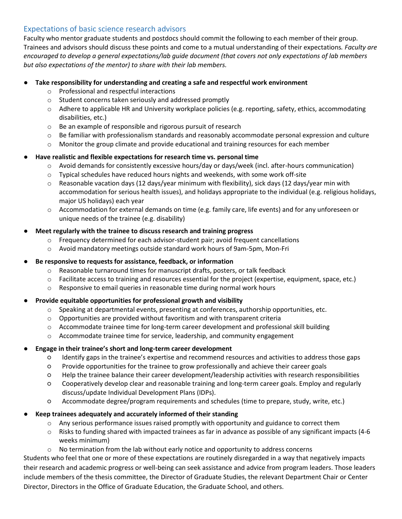# Expectations of basic science research advisors

Faculty who mentor graduate students and postdocs should commit the following to each member of their group. Trainees and advisors should discuss these points and come to a mutual understanding of their expectations*. Faculty are encouraged to develop a general expectations/lab guide document (that covers not only expectations of lab members but also expectations of the mentor) to share with their lab members.*

### Take responsibility for understanding and creating a safe and respectful work environment

- o Professional and respectful interactions
- o Student concerns taken seriously and addressed promptly
- $\circ$  Adhere to applicable HR and University workplace policies (e.g. reporting, safety, ethics, accommodating disabilities, etc.)
- o Be an example of responsible and rigorous pursuit of research
- o Be familiar with professionalism standards and reasonably accommodate personal expression and culture
- o Monitor the group climate and provide educational and training resources for each member

## ● **Have realistic and flexible expectations for research time vs. personal time**

- o Avoid demands for consistently excessive hours/day or days/week (incl. after-hours communication)
- $\circ$  Typical schedules have reduced hours nights and weekends, with some work off-site
- $\circ$  Reasonable vacation days (12 days/year minimum with flexibility), sick days (12 days/year min with accommodation for serious health issues), and holidays appropriate to the individual (e.g. religious holidays, major US holidays) each year
- o Accommodation for external demands on time (e.g. family care, life events) and for any unforeseen or unique needs of the trainee (e.g. disability)

### **Meet regularly with the trainee to discuss research and training progress**

- $\circ$  Frequency determined for each advisor-student pair; avoid frequent cancellations
- o Avoid mandatory meetings outside standard work hours of 9am-5pm, Mon-Fri

#### Be responsive to requests for assistance, feedback, or information

- o Reasonable turnaround times for manuscript drafts, posters, or talk feedback
- o Facilitate access to training and resources essential for the project (expertise, equipment, space, etc.)
- o Responsive to email queries in reasonable time during normal work hours

#### ● **Provide equitable opportunities for professional growth and visibility**

- $\circ$  Speaking at departmental events, presenting at conferences, authorship opportunities, etc.
- $\circ$  Opportunities are provided without favoritism and with transparent criteria
- o Accommodate trainee time for long-term career development and professional skill building
- $\circ$  Accommodate trainee time for service, leadership, and community engagement

#### ● **Engage in their trainee's short and long-term career development**

- Identify gaps in the trainee's expertise and recommend resources and activities to address those gaps
- Provide opportunities for the trainee to grow professionally and achieve their career goals
- Help the trainee balance their career development/leadership activities with research responsibilities
- Cooperatively develop clear and reasonable training and long-term career goals. Employ and regularly discuss/update Individual Development Plans (IDPs).
- Accommodate degree/program requirements and schedules (time to prepare, study, write, etc.)
- **Keep trainees adequately and accurately informed of their standing**
	- $\circ$  Any serious performance issues raised promptly with opportunity and guidance to correct them
	- $\circ$  Risks to funding shared with impacted trainees as far in advance as possible of any significant impacts (4-6) weeks minimum)
	- $\circ$  No termination from the lab without early notice and opportunity to address concerns

Students who feel that one or more of these expectations are routinely disregarded in a way that negatively impacts their research and academic progress or well-being can seek assistance and advice from program leaders. Those leaders include members of the thesis committee, the Director of Graduate Studies, the relevant Department Chair or Center Director, Directors in the Office of Graduate Education, the Graduate School, and others.